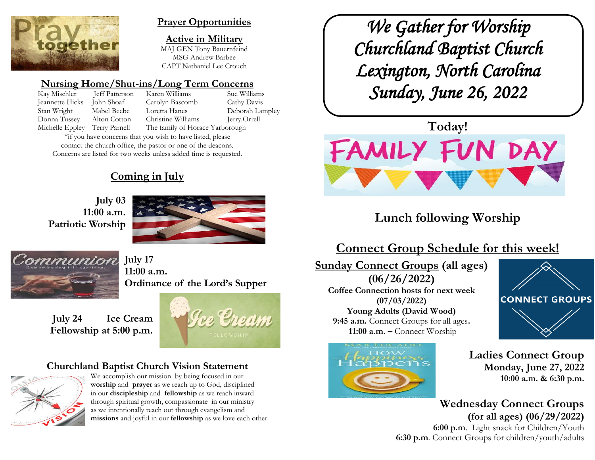

#### **Prayer Opportunities**

**Active in Military** MAJ GEN Tony Bauernfeind MSG Andrew Barbee CAPT Nathaniel Lee Crouch

## **Nursing Home/Shut-ins/Long Term Concerns**

Kay Mischler Jeff Patterson Karen Williams Sue Williams Jeannette Hicks John Shoaf Carolyn Bascomb Cathy Davis Stan Wright Mabel Beebe Loretta Hanes Deborah Lampley Donna Tussey Alton Cotton Christine Williams Jerry.Orrell Michelle Eppley Terry Parnell The family of Horace Yarborough

\*if you have concerns that you wish to have listed, please contact the church office, the pastor or one of the deacons. Concerns are listed for two weeks unless added time is requested.

## **Coming in July**

**July 03 11:00 a.m. Patriotic Worship**





**July 17 11:00 a.m. Ordinance of the Lord's Supper**

**July 24 Ice Cream Fellowship at 5:00 p.m.**



## **Churchland Baptist Church Vision Statement**



We accomplish our mission by being focused in our **worship** and **prayer** as we reach up to God, disciplined in our **discipleship** and **fellowship** as we reach inward through spiritual growth, compassionate in our ministry as we intentionally reach out through evangelism and **missions** and joyful in our **fellowship** as we love each other

*We Gather for Worship Churchland Baptist Church Lexington, North Carolina Sunday, June 26, 2022* 



# **Lunch following Worship**

## **Connect Group Schedule for this week!**

**Sunday Connect Groups (all ages) (06/26/2022) Coffee Connection hosts for next week (07/03/2022) Young Adults (David Wood) 9:45 a.m.** Connect Groups for all ages**. 11:00 a.m. –** Connect Worship



**CONNECT GROUPS** 

**Ladies Connect Group Monday, June 27, 2022 10:00 a.m. & 6:30 p.m.**

**Wednesday Connect Groups (for all ages) (06/29/2022) 6:00 p.m**. Light snack for Children/Youth **6:30 p.m**. Connect Groups for children/youth/adults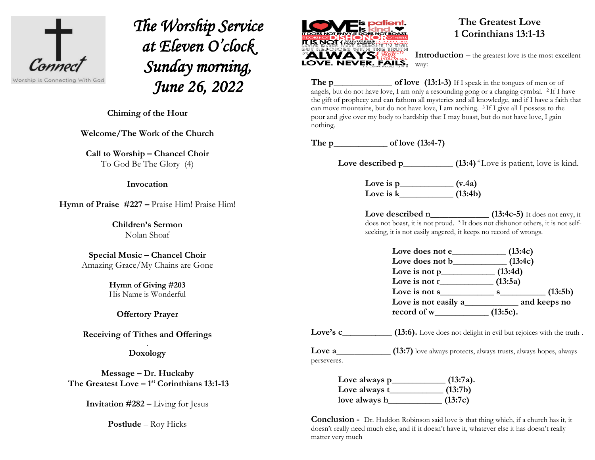

*The Worship Service at Eleven O'clock Sunday morning, June 26, 2022* 

 $\overline{a}$ **Chiming of the Hour**

**Welcome/The Work of the Church**

**Call to Worship – Chancel Choir** To God Be The Glory (4)

#### **Invocation**

**Hymn of Praise #227 –** Praise Him! Praise Him!

**Children's Sermon** Nolan Shoaf

**Special Music – Chancel Choir** Amazing Grace/My Chains are Gone

> **Hymn of Giving #203**  His Name is Wonderful

**Offertory Prayer** 

**Receiving of Tithes and Offerings**

. **Doxology**

**Message – Dr. Huckaby The Greatest Love – 1 st Corinthians 13:1-13**

**Invitation #282 –** Living for Jesus

**Postlude** – Roy Hicks



#### **The Greatest Love [1 Corinthians 13:1-13](https://biblia.com/bible/nasb95/1%20Cor%2013.1-13)**

**Introduction** – the greatest love is the most excellent way:

**The p\_\_\_\_\_\_\_\_\_\_\_\_\_\_\_ of love** (13:1-3) If I speak in the tongues of men or of angels, but do not have love, I am only a resounding gong or a clanging cymbal. <sup>2</sup> If I have the gift of prophecy and can fathom all mysteries and all knowledge, and if I have a faith that can move mountains, but do not have love, I am nothing.  $3$  If I give all I possess to the poor and give over my body to hardship that I may boast, but do not have love, I gain nothing.

**The p\_\_\_\_\_\_\_\_\_\_\_\_\_ of love (13:4-7)**

Love described p\_\_\_\_\_\_\_\_\_\_\_\_\_ **(13:4)** <sup>4</sup> Love is patient, love is kind.

**Love is p\_\_\_\_\_\_\_\_\_\_\_\_\_ (v.4a) Love is k\_\_\_\_\_\_\_\_\_\_\_\_\_ (13:4b)** 

Love described n\_\_\_\_\_\_\_\_\_\_\_\_\_\_\_\_\_ (13:4c-5) It does not envy, it does not boast, it is not proud. <sup>5</sup> It does not dishonor others, it is not selfseeking, it is not easily angered, it keeps no record of wrongs.

| Love does not e         | (13:4c)                       |              |
|-------------------------|-------------------------------|--------------|
|                         | (13:4c)                       |              |
| Love is not $p$         | (13:4d)                       |              |
| Love is not $r_{\perp}$ | (13:5a)                       |              |
| Love is not s_          | $\mathbf{s}$ and $\mathbf{s}$ | (13:5b)      |
| Love is not easily a    |                               | and keeps no |
| record of w_            | $(13:5c)$ .                   |              |

Love's c\_\_\_\_\_\_\_\_\_\_\_\_ **(13:6).** Love does not delight in evil but rejoices with the truth .

**Love a (13:7)** love always protects, always trusts, always hopes, always perseveres.

| Love always p | $(13:7a)$ . |
|---------------|-------------|
| Love always t | (13:7b)     |
| love always h | (13:7c)     |

**Conclusion -** Dr. Haddon Robinson said love is that thing which, if a church has it, it doesn't really need much else, and if it doesn't have it, whatever else it has doesn't really matter very much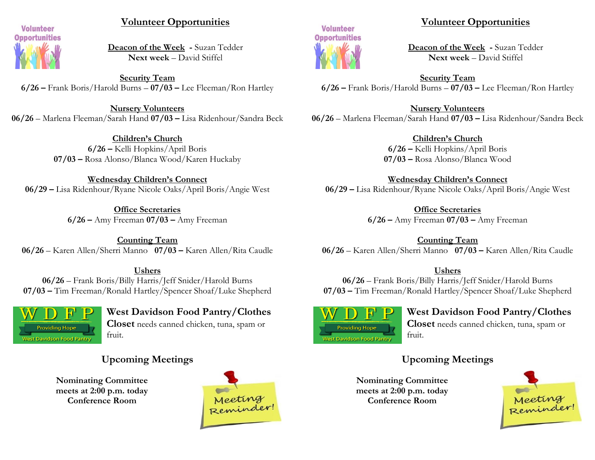

#### **Volunteer Opportunities**

**Deacon of the Week -** Suzan Tedder **Next week** – David Stiffel

**Security Team 6/26 –** Frank Boris/Harold Burns – **07/03 –** Lee Fleeman/Ron Hartley

**Nursery Volunteers 06/26** – Marlena Fleeman/Sarah Hand **07/03 –** Lisa Ridenhour/Sandra Beck

> **Children's Church 6/26 –** Kelli Hopkins/April Boris **07/03 –** Rosa Alonso/Blanca Wood/Karen Huckaby

**Wednesday Children's Connect 06/29 –** Lisa Ridenhour/Ryane Nicole Oaks/April Boris/Angie West

> **Office Secretaries 6/26 –** Amy Freeman **07/03 –** Amy Freeman

**Counting Team 06/26** – Karen Allen/Sherri Manno **07/03 –** Karen Allen/Rita Caudle

**Ushers 06/26** – Frank Boris/Billy Harris/Jeff Snider/Harold Burns **07/03 –** Tim Freeman/Ronald Hartley/Spencer Shoaf/Luke Shepherd



**West Davidson Food Pantry/Clothes** 

**Closet** needs canned chicken, tuna, spam or fruit.

## **Upcoming Meetings**

**Nominating Committee meets at 2:00 p.m. today Conference Room**





#### **Volunteer Opportunities**

**Deacon of the Week -** Suzan Tedder **Next week** – David Stiffel

**Security Team 6/26 –** Frank Boris/Harold Burns – **07/03 –** Lee Fleeman/Ron Hartley

**Nursery Volunteers 06/26** – Marlena Fleeman/Sarah Hand **07/03 –** Lisa Ridenhour/Sandra Beck

> **Children's Church 6/26 –** Kelli Hopkins/April Boris **07/03 –** Rosa Alonso/Blanca Wood

**Wednesday Children's Connect 06/29 –** Lisa Ridenhour/Ryane Nicole Oaks/April Boris/Angie West

> **Office Secretaries 6/26 –** Amy Freeman **07/03 –** Amy Freeman

**Counting Team 06/26** – Karen Allen/Sherri Manno **07/03 –** Karen Allen/Rita Caudle

#### **Ushers**

**06/26** – Frank Boris/Billy Harris/Jeff Snider/Harold Burns **07/03 –** Tim Freeman/Ronald Hartley/Spencer Shoaf/Luke Shepherd



## **West Davidson Food Pantry/Clothes**

**Closet** needs canned chicken, tuna, spam or fruit.

## **Upcoming Meetings**

**Nominating Committee meets at 2:00 p.m. today Conference Room**